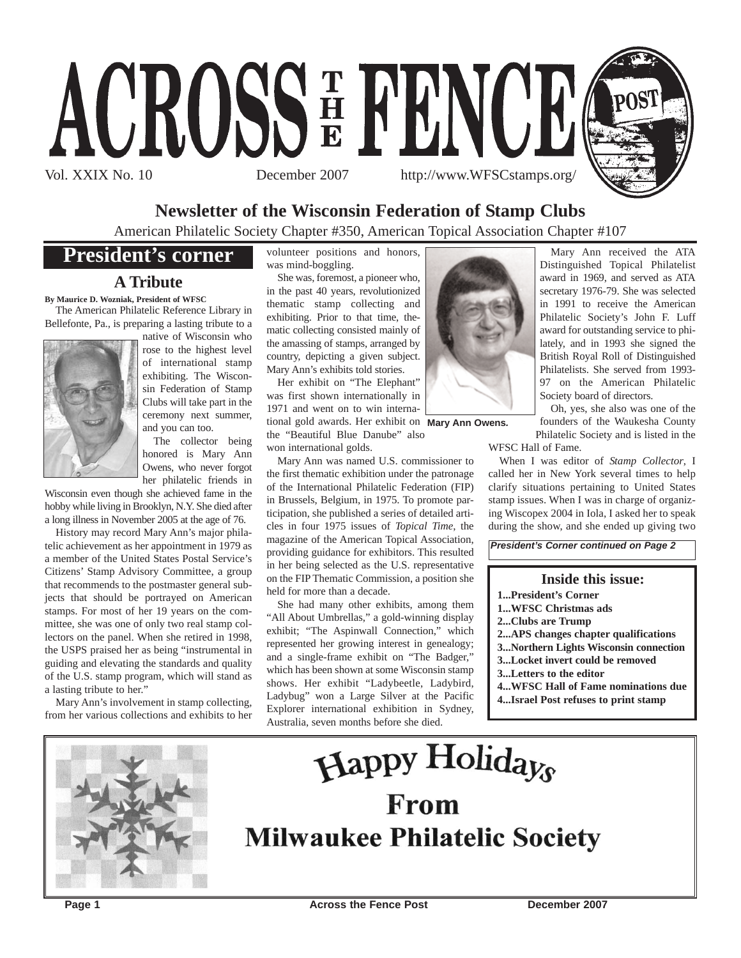



### **Newsletter of the Wisconsin Federation of Stamp Clubs**

American Philatelic Society Chapter #350, American Topical Association Chapter #107

### **President's corner**

#### **A Tribute**

**By Maurice D. Wozniak, President of WFSC**

The American Philatelic Reference Library in Bellefonte, Pa., is preparing a lasting tribute to a



native of Wisconsin who rose to the highest level of international stamp exhibiting. The Wisconsin Federation of Stamp Clubs will take part in the ceremony next summer, and you can too.

The collector being honored is Mary Ann Owens, who never forgot her philatelic friends in

Wisconsin even though she achieved fame in the hobby while living in Brooklyn, N.Y. She died after a long illness in November 2005 at the age of 76.

History may record Mary Ann's major philatelic achievement as her appointment in 1979 as a member of the United States Postal Service's Citizens' Stamp Advisory Committee, a group that recommends to the postmaster general subjects that should be portrayed on American stamps. For most of her 19 years on the committee, she was one of only two real stamp collectors on the panel. When she retired in 1998, the USPS praised her as being "instrumental in guiding and elevating the standards and quality of the U.S. stamp program, which will stand as a lasting tribute to her."

Mary Ann's involvement in stamp collecting, from her various collections and exhibits to her volunteer positions and honors, was mind-boggling.

She was, foremost, a pioneer who, in the past 40 years, revolutionized thematic stamp collecting and exhibiting. Prior to that time, thematic collecting consisted mainly of the amassing of stamps, arranged by country, depicting a given subject. Mary Ann's exhibits told stories.

Her exhibit on "The Elephant" was first shown internationally in 1971 and went on to win international gold awards. Her exhibit on **Mary Ann Owens***.* the "Beautiful Blue Danube" also

won international golds.

Mary Ann was named U.S. commissioner to the first thematic exhibition under the patronage of the International Philatelic Federation (FIP) in Brussels, Belgium, in 1975. To promote participation, she published a series of detailed articles in four 1975 issues of *Topical Time*, the magazine of the American Topical Association, providing guidance for exhibitors. This resulted in her being selected as the U.S. representative on the FIP Thematic Commission, a position she held for more than a decade.

She had many other exhibits, among them "All About Umbrellas," a gold-winning display exhibit; "The Aspinwall Connection," which represented her growing interest in genealogy; and a single-frame exhibit on "The Badger," which has been shown at some Wisconsin stamp shows. Her exhibit "Ladybeetle, Ladybird, Ladybug" won a Large Silver at the Pacific Explorer international exhibition in Sydney, Australia, seven months before she died.



Mary Ann received the ATA Distinguished Topical Philatelist award in 1969, and served as ATA secretary 1976-79. She was selected in 1991 to receive the American Philatelic Society's John F. Luff award for outstanding service to philately, and in 1993 she signed the British Royal Roll of Distinguished Philatelists. She served from 1993- 97 on the American Philatelic Society board of directors.

Oh, yes, she also was one of the founders of the Waukesha County Philatelic Society and is listed in the

WFSC Hall of Fame.

When I was editor of *Stamp Collector*, I called her in New York several times to help clarify situations pertaining to United States stamp issues. When I was in charge of organizing Wiscopex 2004 in Iola, I asked her to speak during the show, and she ended up giving two

*President's Corner continued on Page 2*

#### **Inside this issue:**

- **1...President's Corner**
- **1...WFSC Christmas ads**
- **2...Clubs are Trump**
- **2...APS changes chapter qualifications**
- **3...Northern Lights Wisconsin connection**
- **3...Locket invert could be removed**
- **3...Letters to the editor**
- **4...WFSC Hall of Fame nominations due**
- **4...Israel Post refuses to print stamp**



# Happy Holidays **Milwaukee Philatelic Society**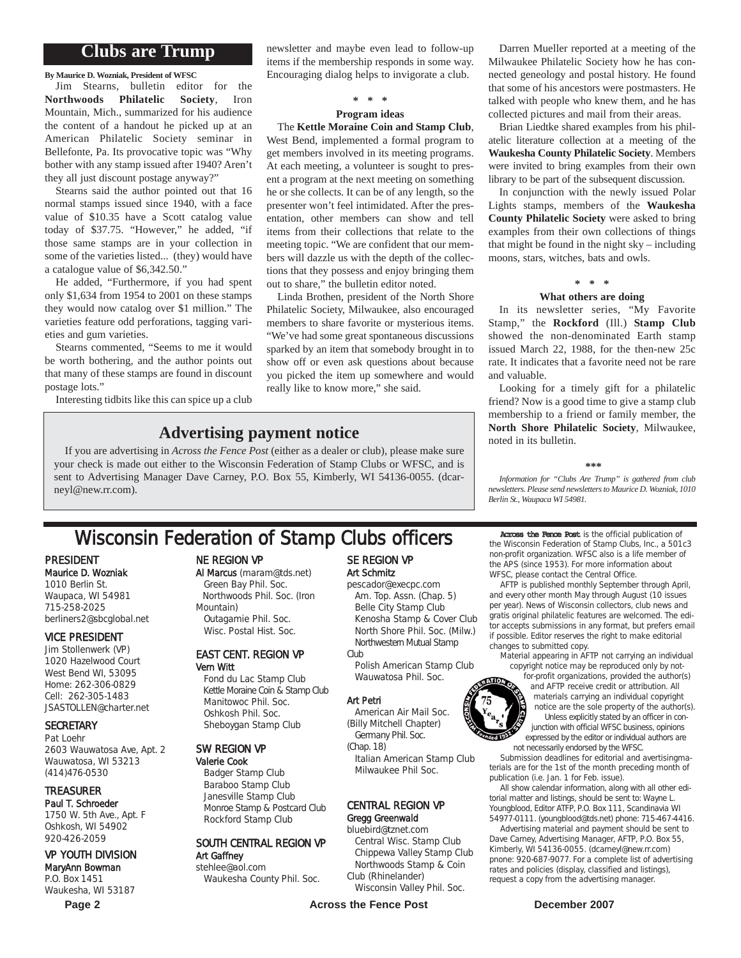#### **Clubs are Trump**

**By Maurice D. Wozniak, President of WFSC**

Jim Stearns, bulletin editor for the **Northwoods Philatelic Society**, Iron Mountain, Mich., summarized for his audience the content of a handout he picked up at an American Philatelic Society seminar in Bellefonte, Pa. Its provocative topic was "Why bother with any stamp issued after 1940? Aren't they all just discount postage anyway?"

Stearns said the author pointed out that 16 normal stamps issued since 1940, with a face value of \$10.35 have a Scott catalog value today of \$37.75. "However," he added, "if those same stamps are in your collection in some of the varieties listed... (they) would have a catalogue value of \$6,342.50."

He added, "Furthermore, if you had spent only \$1,634 from 1954 to 2001 on these stamps they would now catalog over \$1 million." The varieties feature odd perforations, tagging varieties and gum varieties.

Stearns commented, "Seems to me it would be worth bothering, and the author points out that many of these stamps are found in discount postage lots."

Interesting tidbits like this can spice up a club

newsletter and maybe even lead to follow-up items if the membership responds in some way. Encouraging dialog helps to invigorate a club.

#### **\* \* \***

#### **Program ideas**

The **Kettle Moraine Coin and Stamp Club**, West Bend, implemented a formal program to get members involved in its meeting programs. At each meeting, a volunteer is sought to present a program at the next meeting on something he or she collects. It can be of any length, so the presenter won't feel intimidated. After the presentation, other members can show and tell items from their collections that relate to the meeting topic. "We are confident that our members will dazzle us with the depth of the collections that they possess and enjoy bringing them out to share," the bulletin editor noted.

Linda Brothen, president of the North Shore Philatelic Society, Milwaukee, also encouraged members to share favorite or mysterious items. "We've had some great spontaneous discussions sparked by an item that somebody brought in to show off or even ask questions about because you picked the item up somewhere and would really like to know more," she said.

#### **Advertising payment notice**

If you are advertising in *Across the Fence Post* (either as a dealer or club), please make sure your check is made out either to the Wisconsin Federation of Stamp Clubs or WFSC, and is sent to Advertising Manager Dave Carney, P.O. Box 55, Kimberly, WI 54136-0055. (dcarneyl@new.rr.com).

## Wisconsin Federation of Stamp Clubs officers Across the Fence Post is the official publication of Stamp Clubs, Inc., a 5010

#### PRESIDENT Maurice D. Wozniak

1010 Berlin St. Waupaca, WI 54981 715-258-2025 berliners2@sbcglobal.net

#### VICE PRESIDENT

Jim Stollenwerk (VP) 1020 Hazelwood Court West Bend WI, 53095 Home: 262-306-0829 Cell: 262-305-1483 JSASTOLLEN@charter.net

#### **SECRETARY**

Pat Loehr 2603 Wauwatosa Ave, Apt. 2 Wauwatosa, WI 53213 (414)476-0530

#### TREASURER

Paul T. Schroeder 1750 W. 5th Ave., Apt. F Oshkosh, WI 54902 920-426-2059

#### VP YOUTH DIVISION

MaryAnn Bowman P.O. Box 1451 Waukesha, WI 53187

#### NE REGION VP

#### Al Marcus (maram@tds.net) Green Bay Phil. Soc.

Northwoods Phil. Soc. (Iron Mountain) Outagamie Phil. Soc. Wisc. Postal Hist. Soc.

#### EAST CENT. REGION VP Vern Witt

Fond du Lac Stamp Club Kettle Moraine Coin & Stamp Club Manitowoc Phil. Soc. Oshkosh Phil. Soc. Sheboygan Stamp Club

#### SW REGION VP

Valerie Cook Badger Stamp Club Baraboo Stamp Club Janesville Stamp Club Monroe Stamp & Postcard Club Rockford Stamp Club

#### SOUTH CENTRAL REGION VP Art Gaffney

stehlee@aol.com Waukesha County Phil. Soc.

#### SE REGION VP Art Schmitz

pescador@execpc.com Am. Top. Assn. (Chap. 5) Belle City Stamp Club Kenosha Stamp & Cover Club North Shore Phil. Soc. (Milw.) Northwestern Mutual Stamp Club

Polish American Stamp Club Wauwatosa Phil. Soc.

#### Art Petri

- American Air Mail Soc. (Billy Mitchell Chapter) Germany Phil. Soc.
- (Chap. 18)

Italian American Stamp Club Milwaukee Phil Soc.

#### CENTRAL REGION VP Gregg Greenwald

#### bluebird@tznet.com

Central Wisc. Stamp Club Chippewa Valley Stamp Club Northwoods Stamp & Coin Club (Rhinelander)

Wisconsin Valley Phil. Soc.

nected geneology and postal history. He found that some of his ancestors were postmasters. He talked with people who knew them, and he has collected pictures and mail from their areas.

Brian Liedtke shared examples from his philatelic literature collection at a meeting of the **Waukesha County Philatelic Society**. Members were invited to bring examples from their own library to be part of the subsequent discussion.

Darren Mueller reported at a meeting of the Milwaukee Philatelic Society how he has con-

In conjunction with the newly issued Polar Lights stamps, members of the **Waukesha County Philatelic Society** were asked to bring examples from their own collections of things that might be found in the night sky – including moons, stars, witches, bats and owls.

#### **\* \* \* What others are doing**

In its newsletter series, "My Favorite Stamp," the **Rockford** (Ill.) **Stamp Club** showed the non-denominated Earth stamp issued March 22, 1988, for the then-new 25c rate. It indicates that a favorite need not be rare and valuable.

Looking for a timely gift for a philatelic friend? Now is a good time to give a stamp club membership to a friend or family member, the **North Shore Philatelic Society**, Milwaukee, noted in its bulletin.

#### **\*\*\***

*Information for "Clubs Are Trump" is gathered from club newsletters. Please send newsletters to Maurice D. Wozniak, 1010 Berlin St., Waupaca WI 54981.*

the Wisconsin Federation of Stamp Clubs, Inc., a 501c3 non-profit organization. WFSC also is a life member of the APS (since 1953). For more information about WFSC, please contact the Central Office.

AFTP is published monthly September through April, and every other month May through August (10 issues per year). News of Wisconsin collectors, club news and gratis original philatelic features are welcomed. The editor accepts submissions in any format, but prefers email if possible. Editor reserves the right to make editorial changes to submitted copy.

Material appearing in AFTP not carrying an individual copyright notice may be reproduced only by not-

for-profit organizations, provided the author(s) and AFTP receive credit or attribution. All materials carrying an individual copyright notice are the sole property of the author(s). Unless explicitly stated by an officer in conjunction with official WFSC business, opinions expressed by the editor or individual authors are not necessarily endorsed by the WFSC.

Submission deadlines for editorial and avertisingmaterials are for the 1st of the month preceding month of publication (i.e. Jan. 1 for Feb. issue).

All show calendar information, along with all other editorial matter and listings, should be sent to: Wayne L. Youngblood, Editor ATFP, P.O. Box 111, Scandinavia WI 54977-0111. (youngblood@tds.net) phone: 715-467-4416.

Advertising material and payment should be sent to Dave Carney, Advertising Manager, AFTP, P.O. Box 55, Kimberly, WI 54136-0055. (dcarneyl@new.rr.com) pnone: 920-687-9077. For a complete list of advertising rates and policies (display, classified and listings), request a copy from the advertising manager.

Page 2 **Across the Fence Post** December 2007

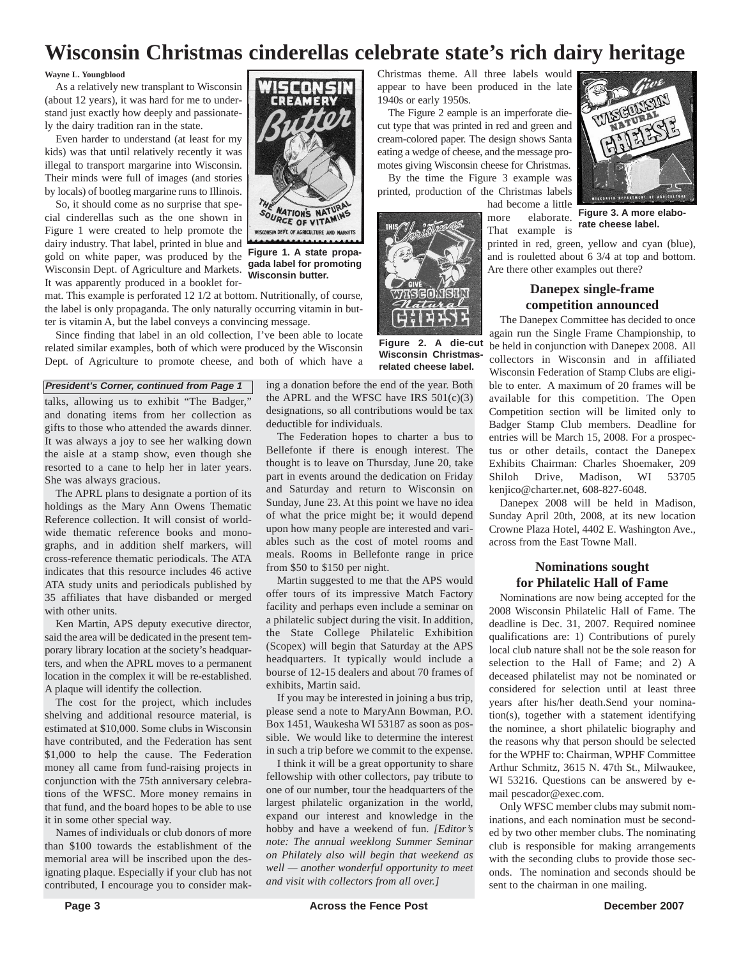# **Wisconsin Christmas cinderellas celebrate state's rich dairy heritage**

#### **Wayne L. Youngblood**

As a relatively new transplant to Wisconsin (about 12 years), it was hard for me to understand just exactly how deeply and passionately the dairy tradition ran in the state.

Even harder to understand (at least for my kids) was that until relatively recently it was illegal to transport margarine into Wisconsin. Their minds were full of images (and stories by locals) of bootleg margarine runs to Illinois.

So, it should come as no surprise that special cinderellas such as the one shown in Figure 1 were created to help promote the dairy industry. That label, printed in blue and gold on white paper, was produced by the Wisconsin Dept. of Agriculture and Markets. It was apparently produced in a booklet for-

mat. This example is perforated 12 1/2 at bottom. Nutritionally, of course, the label is only propaganda. The only naturally occurring vitamin in butter is vitamin A, but the label conveys a convincing message.

Since finding that label in an old collection, I've been able to locate related similar examples, both of which were produced by the Wisconsin Dept. of Agriculture to promote cheese, and both of which have a

#### *President's Corner, continued from Page 1*

talks, allowing us to exhibit "The Badger," and donating items from her collection as gifts to those who attended the awards dinner. It was always a joy to see her walking down the aisle at a stamp show, even though she resorted to a cane to help her in later years. She was always gracious.

The APRL plans to designate a portion of its holdings as the Mary Ann Owens Thematic Reference collection. It will consist of worldwide thematic reference books and monographs, and in addition shelf markers, will cross-reference thematic periodicals. The ATA indicates that this resource includes 46 active ATA study units and periodicals published by 35 affiliates that have disbanded or merged with other units.

Ken Martin, APS deputy executive director, said the area will be dedicated in the present temporary library location at the society's headquarters, and when the APRL moves to a permanent location in the complex it will be re-established. A plaque will identify the collection.

The cost for the project, which includes shelving and additional resource material, is estimated at \$10,000. Some clubs in Wisconsin have contributed, and the Federation has sent \$1,000 to help the cause. The Federation money all came from fund-raising projects in conjunction with the 75th anniversary celebrations of the WFSC. More money remains in that fund, and the board hopes to be able to use it in some other special way.

Names of individuals or club donors of more than \$100 towards the establishment of the memorial area will be inscribed upon the designating plaque. Especially if your club has not contributed, I encourage you to consider mak-



**Figure 1. A state propagada label for promoting Wisconsin butter.**

Christmas theme. All three labels would appear to have been produced in the late 1940s or early 1950s.

The Figure 2 eample is an imperforate diecut type that was printed in red and green and cream-colored paper. The design shows Santa eating a wedge of cheese, and the message promotes giving Wisconsin cheese for Christmas.

By the time the Figure 3 example was printed, production of the Christmas labels

had become a little more elaborate. **Figure 3. A more elabo-**

That example is printed in red, green, yellow and cyan (blue), and is rouletted about 6 3/4 at top and bottom. **rate cheese label.**



**Figure 2. A die-cut Wisconsin Christmasrelated cheese label.**

the APRL and the WFSC have IRS  $501(c)(3)$ designations, so all contributions would be tax deductible for individuals. The Federation hopes to charter a bus to Bellefonte if there is enough interest. The thought is to leave on Thursday, June 20, take part in events around the dedication on Friday and Saturday and return to Wisconsin on Sunday, June 23. At this point we have no idea

ing a donation before the end of the year. Both

of what the price might be; it would depend upon how many people are interested and variables such as the cost of motel rooms and meals. Rooms in Bellefonte range in price from \$50 to \$150 per night.

Martin suggested to me that the APS would offer tours of its impressive Match Factory facility and perhaps even include a seminar on a philatelic subject during the visit. In addition, the State College Philatelic Exhibition (Scopex) will begin that Saturday at the APS headquarters. It typically would include a bourse of 12-15 dealers and about 70 frames of exhibits, Martin said.

If you may be interested in joining a bus trip, please send a note to MaryAnn Bowman, P.O. Box 1451, Waukesha WI 53187 as soon as possible. We would like to determine the interest in such a trip before we commit to the expense.

I think it will be a great opportunity to share fellowship with other collectors, pay tribute to one of our number, tour the headquarters of the largest philatelic organization in the world, expand our interest and knowledge in the hobby and have a weekend of fun. *[Editor's note: The annual weeklong Summer Seminar on Philately also will begin that weekend as well — another wonderful opportunity to meet and visit with collectors from all over.]*

Are there other examples out there? **Danepex single-frame competition announced**

The Danepex Committee has decided to once again run the Single Frame Championship, to be held in conjunction with Danepex 2008. All collectors in Wisconsin and in affiliated Wisconsin Federation of Stamp Clubs are eligible to enter. A maximum of 20 frames will be available for this competition. The Open Competition section will be limited only to Badger Stamp Club members. Deadline for entries will be March 15, 2008. For a prospectus or other details, contact the Danepex Exhibits Chairman: Charles Shoemaker, 209 Shiloh Drive, Madison, WI 53705 kenjico@charter.net, 608-827-6048.

Danepex 2008 will be held in Madison, Sunday April 20th, 2008, at its new location Crowne Plaza Hotel, 4402 E. Washington Ave., across from the East Towne Mall.

#### **Nominations sought for Philatelic Hall of Fame**

Nominations are now being accepted for the 2008 Wisconsin Philatelic Hall of Fame. The deadline is Dec. 31, 2007. Required nominee qualifications are: 1) Contributions of purely local club nature shall not be the sole reason for selection to the Hall of Fame; and 2) A deceased philatelist may not be nominated or considered for selection until at least three years after his/her death.Send your nomination(s), together with a statement identifying the nominee, a short philatelic biography and the reasons why that person should be selected for the WPHF to: Chairman, WPHF Committee Arthur Schmitz, 3615 N. 47th St., Milwaukee, WI 53216. Questions can be answered by email pescador@exec.com.

Only WFSC member clubs may submit nominations, and each nomination must be seconded by two other member clubs. The nominating club is responsible for making arrangements with the seconding clubs to provide those seconds. The nomination and seconds should be sent to the chairman in one mailing.

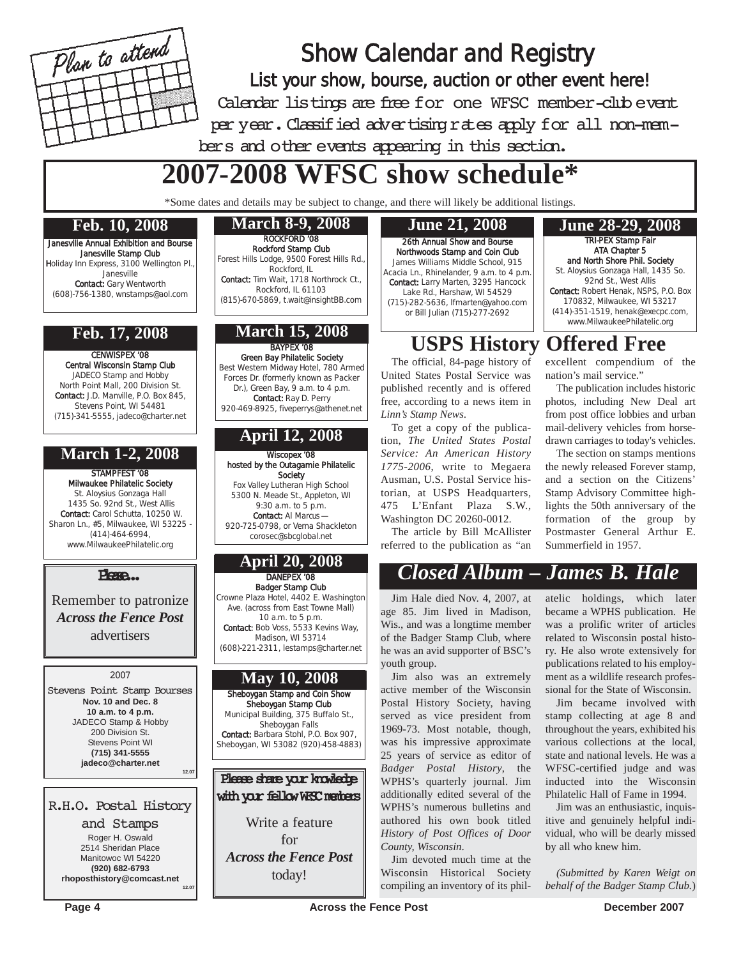

# Show Calendar and Registry List your show, bourse, auction or other event here! Calendar listings are free for one WFSC member-club event per year. Classified advertising rates apply for all non-members and other events appearing in this section.

# **2007-2008 WFSC show schedule\***

\*Some dates and details may be subject to change, and there will likely be additional listings.

#### **Feb. 10, 2008**

Janesville Annual Exhibition and Bourse Janesville Stamp Club Holiday Inn Express, 3100 Wellington Pl., Janesville Contact: Gary Wentworth (608)-756-1380, wnstamps@aol.com

#### **Feb. 17, 2008**

CENWISPEX '08 Central Wisconsin Stamp Club JADECO Stamp and Hobby North Point Mall, 200 Division St. Contact: J.D. Manville, P.O. Box 845, Stevens Point, WI 54481 (715)-341-5555, jadeco@charter.net

#### **March 1-2, 2008**

STAMPFEST '08 Milwaukee Philatelic Society St. Aloysius Gonzaga Hall 1435 So. 92nd St., West Allis Contact: Carol Schutta, 10250 W. Sharon Ln., #5, Milwaukee, WI 53225 (414)-464-6994, www.MilwaukeePhilatelic.org

#### Please...

Remember to patronize *Across the Fence Post* advertisers

#### 2007

Stevens Point Stamp Bourses **Nov. 10 and Dec. 8 10 a.m. to 4 p.m.** JADECO Stamp & Hobby 200 Division St. Stevens Point WI **(715) 341-5555 jadeco@charter.net 12.07**

R.H.O. Postal History and Stamps Roger H. Oswald 2514 Sheridan Place Manitowoc WI 54220 **(920) 682-6793 rhoposthistory@comcast.net 12.07**

# ROCKFORD '08

Rockford Stamp Club Forest Hills Lodge, 9500 Forest Hills Rd., Rockford, IL Contact: Tim Wait, 1718 Northrock Ct.,

Rockford, IL 61103 (815)-670-5869, t.wait@insightBB.com

#### **March 15, 2008**

BAYPEX '08 Green Bay Philatelic Society Best Western Midway Hotel, 780 Armed Forces Dr. (formerly known as Packer Dr.), Green Bay, 9 a.m. to 4 p.m. Contact: Ray D. Perry 920-469-8925, fiveperrys@athenet.net

### **April 12, 2008**

Wiscopex '08 hosted by the Outagamie Philatelic **Society** 

Fox Valley Lutheran High School 5300 N. Meade St., Appleton, WI 9:30 a.m. to 5 p.m. Contact: Al Marcus — 920-725-0798, or Verna Shackleton corosec@sbcglobal.net

#### DANEPEX '08 Badger Stamp Club **April 20, 2008**

Crowne Plaza Hotel, 4402 E. Washington Ave. (across from East Towne Mall)  $10$  a.m. to 5 p.m. Contact: Bob Voss, 5533 Kevins Way, Madison, WI 53714 (608)-221-2311, lestamps@charter.net

#### **May 10, 2008**

Sheboygan Stamp and Coin Show Sheboygan Stamp Club Municipal Building, 375 Buffalo St., Sheboygan Falls Contact: Barbara Stohl, P.O. Box 907, Sheboygan, WI 53082 (920)-458-4883)

### Please share your knowledge with your fellow WFSC members Write a feature

for *Across the Fence Post* today!

26th Annual Show and Bourse Northwoods Stamp and Coin Club James Williams Middle School, 915 Acacia Ln., Rhinelander, 9 a.m. to 4 p.m. Contact: Larry Marten, 3295 Hancock Lake Rd., Harshaw, WI 54529 (715)-282-5636, lfmarten@yahoo.com or Bill Julian (715)-277-2692

#### TRI-PEX Stamp Fair ATA Chapter 5 and North Shore Phil. Society St. Aloysius Gonzaga Hall, 1435 So. 92nd St., West Allis Contact: Robert Henak, NSPS, P.O. Box 170832, Milwaukee, WI 53217 (414)-351-1519, henak@execpc.com, www.MilwaukeePhilatelic.org **March 8-9, 2008 June 21, 2008 June 28-29, 2008**

# **USPS History Offered Free**

The official, 84-page history of United States Postal Service was published recently and is offered free, according to a news item in *Linn's Stamp News*.

To get a copy of the publication, *The United States Postal Service: An American History 1775-2006*, write to Megaera Ausman, U.S. Postal Service historian, at USPS Headquarters, 475 L'Enfant Plaza S.W., Washington DC 20260-0012.

The article by Bill McAllister referred to the publication as "an excellent compendium of the nation's mail service."

The publication includes historic photos, including New Deal art from post office lobbies and urban mail-delivery vehicles from horsedrawn carriages to today's vehicles.

The section on stamps mentions the newly released Forever stamp, and a section on the Citizens' Stamp Advisory Committee highlights the 50th anniversary of the formation of the group by Postmaster General Arthur E. Summerfield in 1957.

# *Closed Album – James B. Hale*

Jim Hale died Nov. 4, 2007, at age 85. Jim lived in Madison, Wis., and was a longtime member of the Badger Stamp Club, where he was an avid supporter of BSC's youth group.

Jim also was an extremely active member of the Wisconsin Postal History Society, having served as vice president from 1969-73. Most notable, though, was his impressive approximate 25 years of service as editor of *Badger Postal History*, the WPHS's quarterly journal. Jim additionally edited several of the WPHS's numerous bulletins and authored his own book titled *History of Post Offices of Door County, Wisconsin*.

Jim devoted much time at the Wisconsin Historical Society compiling an inventory of its philatelic holdings, which later became a WPHS publication. He was a prolific writer of articles related to Wisconsin postal history. He also wrote extensively for publications related to his employment as a wildlife research professional for the State of Wisconsin.

Jim became involved with stamp collecting at age 8 and throughout the years, exhibited his various collections at the local, state and national levels. He was a WFSC-certified judge and was inducted into the Wisconsin Philatelic Hall of Fame in 1994.

Jim was an enthusiastic, inquisitive and genuinely helpful individual, who will be dearly missed by all who knew him.

*(Submitted by Karen Weigt on behalf of the Badger Stamp Club.*)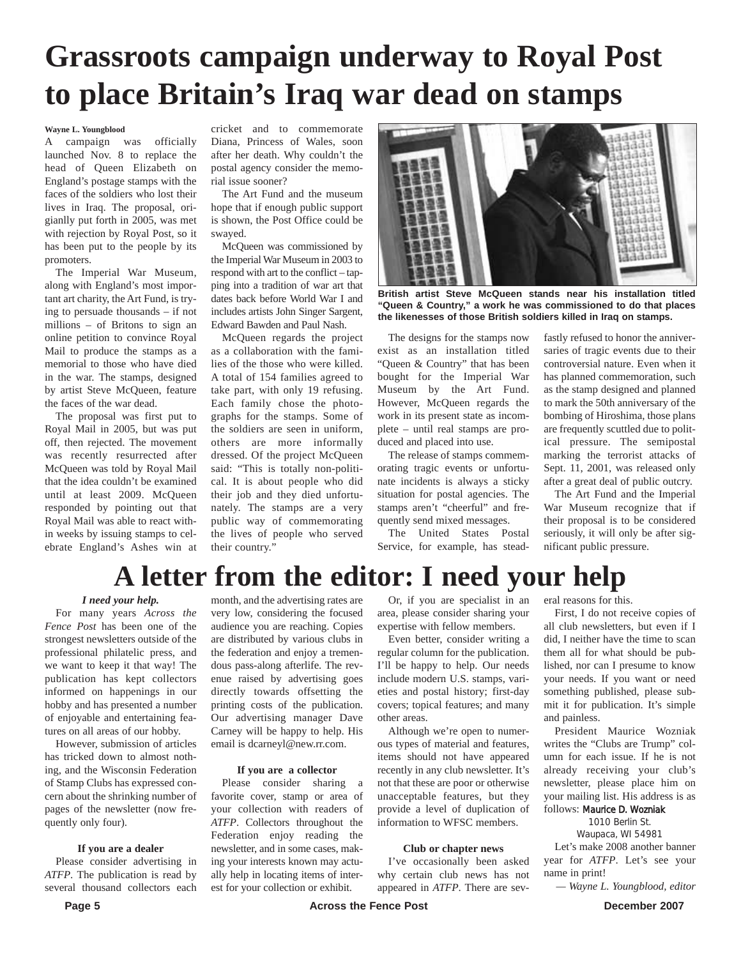# **Grassroots campaign underway to Royal Post to place Britain's Iraq war dead on stamps**

#### **Wayne L. Youngblood**

A campaign was officially launched Nov. 8 to replace the head of Queen Elizabeth on England's postage stamps with the faces of the soldiers who lost their lives in Iraq. The proposal, origianlly put forth in 2005, was met with rejection by Royal Post, so it has been put to the people by its promoters.

The Imperial War Museum, along with England's most important art charity, the Art Fund, is trying to persuade thousands – if not millions – of Britons to sign an online petition to convince Royal Mail to produce the stamps as a memorial to those who have died in the war. The stamps, designed by artist Steve McQueen, feature the faces of the war dead.

The proposal was first put to Royal Mail in 2005, but was put off, then rejected. The movement was recently resurrected after McQueen was told by Royal Mail that the idea couldn't be examined until at least 2009. McQueen responded by pointing out that Royal Mail was able to react within weeks by issuing stamps to celebrate England's Ashes win at

cricket and to commemorate Diana, Princess of Wales, soon after her death. Why couldn't the postal agency consider the memorial issue sooner?

The Art Fund and the museum hope that if enough public support is shown, the Post Office could be swayed.

McQueen was commissioned by the Imperial War Museum in 2003 to respond with art to the conflict – tapping into a tradition of war art that dates back before World War I and includes artists John Singer Sargent, Edward Bawden and Paul Nash.

McQueen regards the project as a collaboration with the families of the those who were killed. A total of 154 families agreed to take part, with only 19 refusing. Each family chose the photographs for the stamps. Some of the soldiers are seen in uniform, others are more informally dressed. Of the project McQueen said: "This is totally non-political. It is about people who did their job and they died unfortunately. The stamps are a very public way of commemorating the lives of people who served their country."



**British artist Steve McQueen stands near his installation titled "Queen & Country," a work he was commissioned to do that places the likenesses of those British soldiers killed in Iraq on stamps.** 

The designs for the stamps now exist as an installation titled "Queen & Country" that has been bought for the Imperial War Museum by the Art Fund. However, McQueen regards the work in its present state as incomplete – until real stamps are produced and placed into use.

The release of stamps commemorating tragic events or unfortunate incidents is always a sticky situation for postal agencies. The stamps aren't "cheerful" and frequently send mixed messages.

The United States Postal Service, for example, has stead-

fastly refused to honor the anniversaries of tragic events due to their controversial nature. Even when it has planned commemoration, such as the stamp designed and planned to mark the 50th anniversary of the bombing of Hiroshima, those plans are frequently scuttled due to political pressure. The semipostal marking the terrorist attacks of Sept. 11, 2001, was released only after a great deal of public outcry.

The Art Fund and the Imperial War Museum recognize that if their proposal is to be considered seriously, it will only be after significant public pressure.

# **A letter from the editor: I need your help**

#### *I need your help.*

For many years *Across the Fence Post* has been one of the strongest newsletters outside of the professional philatelic press, and we want to keep it that way! The publication has kept collectors informed on happenings in our hobby and has presented a number of enjoyable and entertaining features on all areas of our hobby.

However, submission of articles has tricked down to almost nothing, and the Wisconsin Federation of Stamp Clubs has expressed concern about the shrinking number of pages of the newsletter (now frequently only four).

#### **If you are a dealer**

Please consider advertising in *ATFP*. The publication is read by several thousand collectors each

month, and the advertising rates are very low, considering the focused audience you are reaching. Copies are distributed by various clubs in the federation and enjoy a tremendous pass-along afterlife. The revenue raised by advertising goes directly towards offsetting the printing costs of the publication. Our advertising manager Dave Carney will be happy to help. His email is dcarneyl@new.rr.com.

#### **If you are a collector**

Please consider sharing a favorite cover, stamp or area of your collection with readers of *ATFP*. Collectors throughout the Federation enjoy reading the newsletter, and in some cases, making your interests known may actually help in locating items of interest for your collection or exhibit.

Or, if you are specialist in an area, please consider sharing your expertise with fellow members.

Even better, consider writing a regular column for the publication. I'll be happy to help. Our needs include modern U.S. stamps, varieties and postal history; first-day covers; topical features; and many other areas.

Although we're open to numerous types of material and features, items should not have appeared recently in any club newsletter. It's not that these are poor or otherwise unacceptable features, but they provide a level of duplication of information to WFSC members.

#### **Club or chapter news**

I've occasionally been asked why certain club news has not appeared in *ATFP*. There are several reasons for this.

First, I do not receive copies of all club newsletters, but even if I did, I neither have the time to scan them all for what should be published, nor can I presume to know your needs. If you want or need something published, please submit it for publication. It's simple and painless.

President Maurice Wozniak writes the "Clubs are Trump" column for each issue. If he is not already receiving your club's newsletter, please place him on your mailing list. His address is as follows: Maurice D. Wozniak

1010 Berlin St.

Waupaca, WI 54981

Let's make 2008 another banner year for *ATFP*. Let's see your name in print!

*— Wayne L. Youngblood, editor*